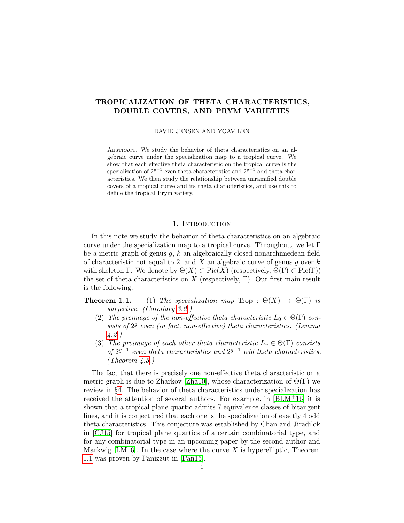# <span id="page-0-0"></span>TROPICALIZATION OF THETA CHARACTERISTICS, DOUBLE COVERS, AND PRYM VARIETIES

DAVID JENSEN AND YOAV LEN

Abstract. We study the behavior of theta characteristics on an algebraic curve under the specialization map to a tropical curve. We show that each effective theta characteristic on the tropical curve is the specialization of  $2^{g-1}$  even theta characteristics and  $2^{g-1}$  odd theta characteristics. We then study the relationship between unramified double covers of a tropical curve and its theta characteristics, and use this to define the tropical Prym variety.

## 1. INTRODUCTION

In this note we study the behavior of theta characteristics on an algebraic curve under the specialization map to a tropical curve. Throughout, we let  $\Gamma$ be a metric graph of genus  $g, k$  an algebraically closed nonarchimedean field of characteristic not equal to 2, and X an algebraic curve of genus q over  $k$ with skeleton Γ. We denote by  $\Theta(X) \subset \text{Pic}(X)$  (respectively,  $\Theta(\Gamma) \subset \text{Pic}(\Gamma)$ ) the set of theta characteristics on  $X$  (respectively, Γ). Our first main result is the following.

**Theorem 1.1.** (1) The specialization map Trop :  $\Theta(X) \to \Theta(\Gamma)$  is surjective. (Corollary [3.2.](#page-4-0))

- (2) The preimage of the non-effective theta characteristic  $L_0 \in \Theta(\Gamma)$  consists of  $2<sup>g</sup>$  even (in fact, non-effective) theta characteristics. (Lemma [4.2.](#page-5-0))
- (3) The preimage of each other theta characteristic  $L_{\gamma} \in \Theta(\Gamma)$  consists of  $2^{g-1}$  even theta characteristics and  $2^{g-1}$  odd theta characteristics. (Theorem  $\angle 4.5.$  $\angle 4.5.$ )

The fact that there is precisely one non-effective theta characteristic on a metric graph is due to Zharkov [\[Zha10\]](#page-16-0), whose characterization of  $\Theta(\Gamma)$  we review in §[4.](#page-4-1) The behavior of theta characteristics under specialization has received the attention of several authors. For example, in [\[BLM](#page-16-1)+16] it is shown that a tropical plane quartic admits 7 equivalence classes of bitangent lines, and it is conjectured that each one is the specialization of exactly 4 odd theta characteristics. This conjecture was established by Chan and Jiradilok in [\[CJ15\]](#page-16-2) for tropical plane quartics of a certain combinatorial type, and for any combinatorial type in an upcoming paper by the second author and Markwig [\[LM16\]](#page-16-3). In the case where the curve  $X$  is hyperelliptic, Theorem 1.1 was proven by Panizzut in [\[Pan15\]](#page-16-4).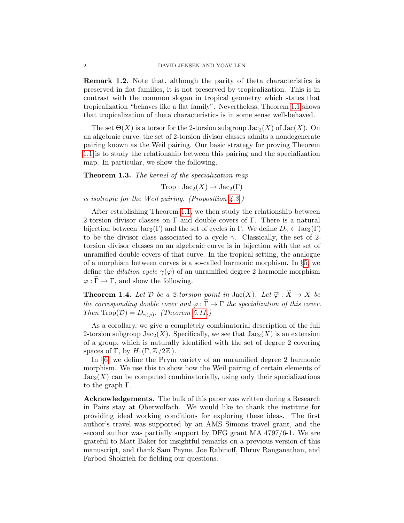Remark 1.2. Note that, although the parity of theta characteristics is preserved in flat families, it is not preserved by tropicalization. This is in contrast with the common slogan in tropical geometry which states that tropicalization "behaves like a flat family". Nevertheless, Theorem [1.1](#page-0-0) shows that tropicalization of theta characteristics is in some sense well-behaved.

The set  $\Theta(X)$  is a torsor for the 2-torsion subgroup  $Jac_2(X)$  of  $Jac(X)$ . On an algebraic curve, the set of 2-torsion divisor classes admits a nondegenerate pairing known as the Weil pairing. Our basic strategy for proving Theorem [1.1](#page-0-0) is to study the relationship between this pairing and the specialization map. In particular, we show the following.

Theorem 1.3. The kernel of the specialization map

 $Trop : Jac_2(X) \to Jac_2(\Gamma)$ 

is isotropic for the Weil pairing. (Proposition [4.3.](#page-6-1))

After establishing Theorem [1.1,](#page-0-0) we then study the relationship between 2-torsion divisor classes on  $\Gamma$  and double covers of  $\Gamma$ . There is a natural bijection between  $Jac_2(\Gamma)$  and the set of cycles in Γ. We define  $D_{\gamma} \in Jac_2(\Gamma)$ to be the divisor class associated to a cycle  $\gamma$ . Classically, the set of 2torsion divisor classes on an algebraic curve is in bijection with the set of unramified double covers of that curve. In the tropical setting, the analogue of a morphism between curves is a so-called harmonic morphism. In §[5,](#page-7-0) we define the *dilation cycle*  $\gamma(\varphi)$  of an unramified degree 2 harmonic morphism  $\varphi : \widetilde{\Gamma} \to \Gamma$ , and show the following.

**Theorem 1.4.** Let  $D$  be a 2-torsion point in  $Jac(X)$ . Let  $\overline{\varphi}: \widetilde{X} \to X$  be the corresponding double cover and  $\varphi : \widetilde{\Gamma} \to \Gamma$  the specialization of this cover. Then Trop( $\mathcal{D}$ ) =  $D_{\gamma(\varphi)}$ . (Theorem [5.11.](#page-10-0))

As a corollary, we give a completely combinatorial description of the full 2-torsion subgroup  $Jac_2(X)$ . Specifically, we see that  $Jac_2(X)$  is an extension of a group, which is naturally identified with the set of degree 2 covering spaces of Γ, by  $H_1(\Gamma, \mathbb{Z}/2\mathbb{Z})$ .

In §[6,](#page-13-0) we define the Prym variety of an unramified degree 2 harmonic morphism. We use this to show how the Weil pairing of certain elements of  $Jac_2(X)$  can be computed combinatorially, using only their specializations to the graph Γ.

Acknowledgements. The bulk of this paper was written during a Research in Pairs stay at Oberwolfach. We would like to thank the institute for providing ideal working conditions for exploring these ideas. The first author's travel was supported by an AMS Simons travel grant, and the second author was partially support by DFG grant MA 4797/6-1. We are grateful to Matt Baker for insightful remarks on a previous version of this manuscript, and thank Sam Payne, Joe Rabinoff, Dhruv Ranganathan, and Farbod Shokrieh for fielding our questions.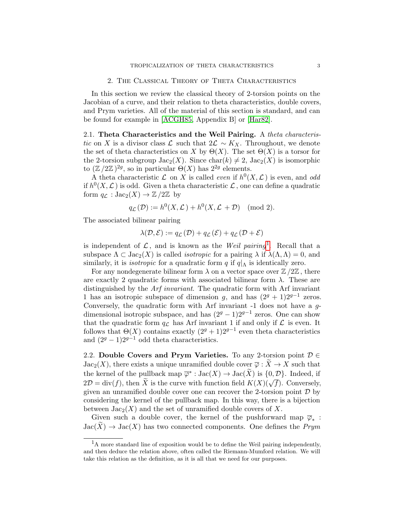# 2. The Classical Theory of Theta Characteristics

In this section we review the classical theory of 2-torsion points on the Jacobian of a curve, and their relation to theta characteristics, double covers, and Prym varieties. All of the material of this section is standard, and can be found for example in [\[ACGH85,](#page-16-5) Appendix B] or [\[Har82\]](#page-16-6).

2.1. Theta Characteristics and the Weil Pairing. A theta characteristic on X is a divisor class L such that  $2\mathcal{L} \sim K_X$ . Throughout, we denote the set of theta characteristics on X by  $\Theta(X)$ . The set  $\Theta(X)$  is a torsor for the 2-torsion subgroup  $Jac_2(X)$ . Since  $char(k) \neq 2$ ,  $Jac_2(X)$  is isomorphic to  $(\mathbb{Z}/2\mathbb{Z})^{2g}$ , so in particular  $\Theta(X)$  has  $2^{2g}$  elements.

A theta characteristic  $\mathcal L$  on X is called *even* if  $h^0(X, \mathcal L)$  is even, and odd if  $h^0(X, \mathcal{L})$  is odd. Given a theta characteristic  $\mathcal{L}$ , one can define a quadratic form  $q_{\mathcal{L}} : \text{Jac}_2(X) \to \mathbb{Z}/2\mathbb{Z}$  by

$$
q_{\mathcal{L}}(\mathcal{D}) := h^0(X, \mathcal{L}) + h^0(X, \mathcal{L} + \mathcal{D}) \pmod{2}.
$$

The associated bilinear pairing

$$
\lambda(\mathcal{D}, \mathcal{E}) := q_{\mathcal{L}}(\mathcal{D}) + q_{\mathcal{L}}(\mathcal{E}) + q_{\mathcal{L}}(\mathcal{D} + \mathcal{E})
$$

is independent of  $\mathcal{L}$ , and is known as the Weil pairing<sup>[1](#page-2-0)</sup>. Recall that a subspace  $\Lambda \subset \text{Jac}_2(X)$  is called *isotropic* for a pairing  $\lambda$  if  $\lambda(\Lambda,\Lambda) = 0$ , and similarly, it is *isotropic* for a quadratic form q if  $q|_{\Lambda}$  is identically zero.

For any nondegenerate bilinear form  $\lambda$  on a vector space over  $\mathbb{Z}/2\mathbb{Z}$ , there are exactly 2 quadratic forms with associated bilinear form  $\lambda$ . These are distinguished by the Arf invariant. The quadratic form with Arf invariant 1 has an isotropic subspace of dimension g, and has  $(2<sup>g</sup> + 1)2<sup>g-1</sup>$  zeros. Conversely, the quadratic form with Arf invariant -1 does not have a gdimensional isotropic subspace, and has  $(2<sup>g</sup> - 1)2<sup>g-1</sup>$  zeros. One can show that the quadratic form  $q_{\mathcal{L}}$  has Arf invariant 1 if and only if  $\mathcal{L}$  is even. It follows that  $\Theta(X)$  contains exactly  $(2^g + 1)2^{g-1}$  even theta characteristics and  $(2<sup>g</sup> - 1)2<sup>g-1</sup>$  odd theta characteristics.

2.2. Double Covers and Prym Varieties. To any 2-torsion point  $\mathcal{D} \in$  $Jac_2(X)$ , there exists a unique unramified double cover  $\overline{\varphi}: X \to X$  such that the kernel of the pullback map  $\overline{\varphi}^* : \text{Jac}(X) \to \text{Jac}(\widetilde{X})$  is  $\{0, \mathcal{D}\}\)$ . Indeed, if  $2D = \text{div}(f)$ , then  $\widetilde{X}$  is the curve with function field  $K(X)(\sqrt{f})$ . Conversely, given an unramified double cover one can recover the 2-torsion point  $\mathcal D$  by considering the kernel of the pullback map. In this way, there is a bijection between  $Jac_2(X)$  and the set of unramified double covers of X.

Given such a double cover, the kernel of the pushforward map  $\overline{\varphi}_*$ :  $Jac(X) \to Jac(X)$  has two connected components. One defines the *Prym* 

<span id="page-2-0"></span> $<sup>1</sup>A$  more standard line of exposition would be to define the Weil pairing independently,</sup> and then deduce the relation above, often called the Riemann-Mumford relation. We will take this relation as the definition, as it is all that we need for our purposes.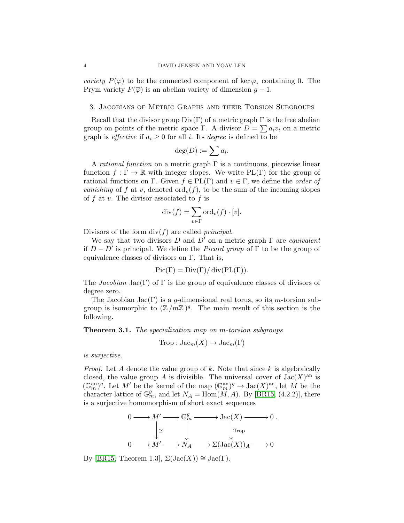*variety*  $P(\overline{\varphi})$  to be the connected component of ker $\overline{\varphi}_*$  containing 0. The Prym variety  $P(\overline{\varphi})$  is an abelian variety of dimension  $q-1$ .

### 3. Jacobians of Metric Graphs and their Torsion Subgroups

Recall that the divisor group  $Div(\Gamma)$  of a metric graph  $\Gamma$  is the free abelian group on points of the metric space Γ. A divisor  $D = \sum a_i v_i$  on a metric graph is *effective* if  $a_i \geq 0$  for all i. Its *degree* is defined to be

$$
\deg(D) := \sum a_i.
$$

A rational function on a metric graph  $\Gamma$  is a continuous, piecewise linear function  $f : \Gamma \to \mathbb{R}$  with integer slopes. We write PL(Γ) for the group of rational functions on Γ. Given  $f \in PL(\Gamma)$  and  $v \in \Gamma$ , we define the *order of* vanishing of f at v, denoted ord<sub>v</sub> $(f)$ , to be the sum of the incoming slopes of  $f$  at  $v$ . The divisor associated to  $f$  is

$$
\mathrm{div}(f) = \sum_{v \in \Gamma} \mathrm{ord}_v(f) \cdot [v].
$$

Divisors of the form  $div(f)$  are called *principal*.

We say that two divisors D and D' on a metric graph  $\Gamma$  are *equivalent* if  $D - D'$  is principal. We define the *Picard group* of  $\Gamma$  to be the group of equivalence classes of divisors on Γ. That is,

$$
Pic(\Gamma) = Div(\Gamma)/div(PL(\Gamma)).
$$

The *Jacobian* Jac(Γ) of Γ is the group of equivalence classes of divisors of degree zero.

The Jacobian Jac(Γ) is a g-dimensional real torus, so its m-torsion subgroup is isomorphic to  $(\mathbb{Z}/m\mathbb{Z})^g$ . The main result of this section is the following.

<span id="page-3-0"></span>Theorem 3.1. The specialization map on m-torsion subgroups

$$
Trop: \text{Jac}_m(X) \to \text{Jac}_m(\Gamma)
$$

is surjective.

*Proof.* Let A denote the value group of k. Note that since k is algebraically closed, the value group A is divisible. The universal cover of  $Jac(X)$ <sup>an</sup> is  $(\mathbb{G}_m^{\rm an})^g$ . Let M' be the kernel of the map  $(\mathbb{G}_m^{\rm an})^g \to \text{Jac}(X)^{\rm an}$ , let M be the character lattice of  $\mathbb{G}_m^g$ , and let  $N_A = \text{Hom}(M, A)$ . By [\[BR15,](#page-16-7) (4.2.2)], there is a surjective homomorphism of short exact sequences

$$
0 \longrightarrow M' \longrightarrow \mathbb{G}_m^g \longrightarrow \text{Jac}(X) \longrightarrow 0.
$$
  
\n
$$
\downarrow \cong \qquad \qquad \downarrow \qquad \qquad \downarrow \text{Top}
$$
  
\n
$$
0 \longrightarrow M' \longrightarrow N_A \longrightarrow \Sigma(\text{Jac}(X))_A \longrightarrow 0
$$

By [\[BR15,](#page-16-7) Theorem 1.3],  $\Sigma(\mathrm{Jac}(X)) \cong \mathrm{Jac}(\Gamma)$ .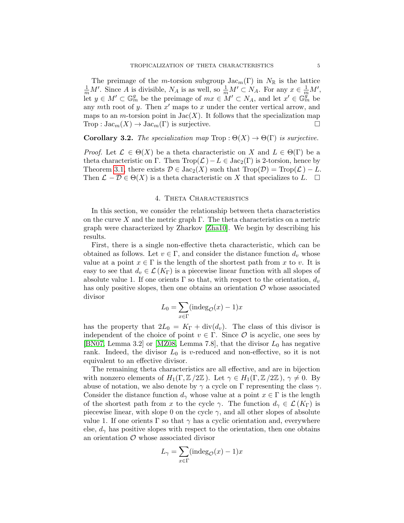The preimage of the m-torsion subgroup  $\text{Jac}_m(\Gamma)$  in  $N_{\mathbb{R}}$  is the lattice  $\frac{1}{m}M'$ . Since A is divisible,  $N_A$  is as well, so  $\frac{1}{m}M' \subset N_A$ . For any  $x \in \frac{1}{m}M'$ , let  $y \in M' \subset \mathbb{G}_m^g$  be the preimage of  $mx \in M' \subset N_A$ , and let  $x' \in \mathbb{G}_m^{\mathscr{G}}$  be any mth root of y. Then  $x'$  maps to x under the center vertical arrow, and maps to an *m*-torsion point in  $Jac(X)$ . It follows that the specialization map Trop :  $\text{Jac}_m(X) \to \text{Jac}_m(\Gamma)$  is surjective.

<span id="page-4-0"></span>**Corollary 3.2.** The specialization map Trop :  $\Theta(X) \to \Theta(\Gamma)$  is surjective.

*Proof.* Let  $\mathcal{L} \in \Theta(X)$  be a theta characteristic on X and  $L \in \Theta(\Gamma)$  be a theta characteristic on Γ. Then  $\text{Trop}(\mathcal{L})-L \in \text{Jac}_2(\Gamma)$  is 2-torsion, hence by Theorem [3.1,](#page-3-0) there exists  $\mathcal{D} \in \text{Jac}_2(X)$  such that  $\text{Trop}(\mathcal{D}) = \text{Trop}(\mathcal{L}) - L$ . Then  $\mathcal{L} - \mathcal{D} \in \Theta(X)$  is a theta characteristic on X that specializes to L.  $\Box$ 

#### 4. Theta Characteristics

<span id="page-4-1"></span>In this section, we consider the relationship between theta characteristics on the curve X and the metric graph  $\Gamma$ . The theta characteristics on a metric graph were characterized by Zharkov [\[Zha10\]](#page-16-0). We begin by describing his results.

First, there is a single non-effective theta characteristic, which can be obtained as follows. Let  $v \in \Gamma$ , and consider the distance function  $d_v$  whose value at a point  $x \in \Gamma$  is the length of the shortest path from x to v. It is easy to see that  $d_v \in \mathcal{L}(K_{\Gamma})$  is a piecewise linear function with all slopes of absolute value 1. If one orients  $\Gamma$  so that, with respect to the orientation,  $d_v$ has only positive slopes, then one obtains an orientation  $\mathcal O$  whose associated divisor

$$
L_0 = \sum_{x \in \Gamma} (\text{indeg}_{\mathcal{O}}(x) - 1)x
$$

has the property that  $2L_0 = K_{\Gamma} + \text{div}(d_v)$ . The class of this divisor is independent of the choice of point  $v \in \Gamma$ . Since  $\mathcal O$  is acyclic, one sees by [\[BN07,](#page-16-8) Lemma 3.2] or [\[MZ08,](#page-16-9) Lemma 7.8], that the divisor  $L_0$  has negative rank. Indeed, the divisor  $L_0$  is v-reduced and non-effective, so it is not equivalent to an effective divisor.

The remaining theta characteristics are all effective, and are in bijection with nonzero elements of  $H_1(\Gamma, \mathbb{Z}/2\mathbb{Z})$ . Let  $\gamma \in H_1(\Gamma, \mathbb{Z}/2\mathbb{Z})$ ,  $\gamma \neq 0$ . By abuse of notation, we also denote by  $\gamma$  a cycle on  $\Gamma$  representing the class  $\gamma$ . Consider the distance function  $d_{\gamma}$  whose value at a point  $x \in \Gamma$  is the length of the shortest path from x to the cycle  $\gamma$ . The function  $d_{\gamma} \in \mathcal{L}(K_{\Gamma})$  is piecewise linear, with slope 0 on the cycle  $\gamma$ , and all other slopes of absolute value 1. If one orients  $\Gamma$  so that  $\gamma$  has a cyclic orientation and, everywhere else,  $d_{\gamma}$  has positive slopes with respect to the orientation, then one obtains an orientation  $\mathcal O$  whose associated divisor

$$
L_{\gamma} = \sum_{x \in \Gamma} (\text{indeg}_{\mathcal{O}}(x) - 1)x
$$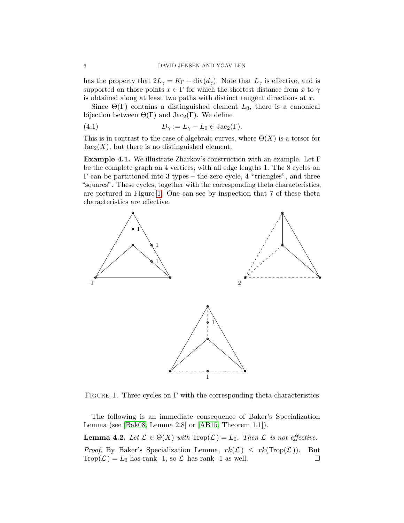has the property that  $2L_{\gamma} = K_{\Gamma} + \text{div}(d_{\gamma})$ . Note that  $L_{\gamma}$  is effective, and is supported on those points  $x \in \Gamma$  for which the shortest distance from x to  $\gamma$ is obtained along at least two paths with distinct tangent directions at x.

Since  $\Theta(\Gamma)$  contains a distinguished element  $L_0$ , there is a canonical bijection between  $\Theta(\Gamma)$  and  $Jac_2(\Gamma)$ . We define

<span id="page-5-3"></span>(4.1) 
$$
D_{\gamma} := L_{\gamma} - L_0 \in \text{Jac}_2(\Gamma).
$$

This is in contrast to the case of algebraic curves, where  $\Theta(X)$  is a torsor for  $Jac_2(X)$ , but there is no distinguished element.

<span id="page-5-2"></span>Example 4.1. We illustrate Zharkov's construction with an example. Let Γ be the complete graph on 4 vertices, with all edge lengths 1. The 8 cycles on  $\Gamma$  can be partitioned into 3 types – the zero cycle, 4 "triangles", and three "squares". These cycles, together with the corresponding theta characteristics, are pictured in Figure [1.](#page-5-1) One can see by inspection that 7 of these theta characteristics are effective.



<span id="page-5-1"></span>FIGURE 1. Three cycles on  $\Gamma$  with the corresponding theta characteristics

The following is an immediate consequence of Baker's Specialization Lemma (see [\[Bak08,](#page-16-10) Lemma 2.8] or [\[AB15,](#page-16-11) Theorem 1.1]).

<span id="page-5-0"></span>**Lemma 4.2.** Let  $\mathcal{L} \in \Theta(X)$  with  $\text{Trop}(\mathcal{L}) = L_0$ . Then  $\mathcal{L}$  is not effective. *Proof.* By Baker's Specialization Lemma,  $rk(\mathcal{L}) \leq rk(\text{Top}(\mathcal{L}))$ . But  $\text{Trop}(\mathcal{L}) = L_0$  has rank -1, so  $\mathcal{L}$  has rank -1 as well.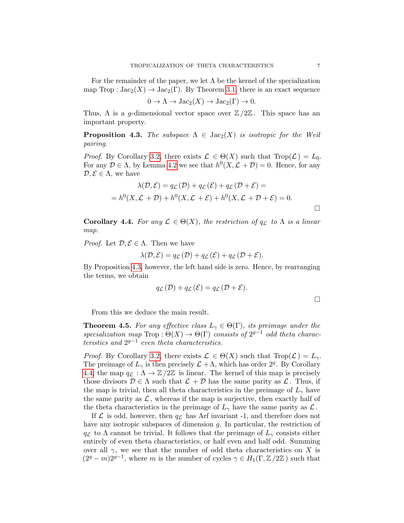For the remainder of the paper, we let  $\Lambda$  be the kernel of the specialization map Trop :  $Jac_2(X) \to Jac_2(\Gamma)$ . By Theorem [3.1,](#page-3-0) there is an exact sequence

$$
0 \to \Lambda \to \text{Jac}_2(X) \to \text{Jac}_2(\Gamma) \to 0.
$$

Thus,  $\Lambda$  is a q-dimensional vector space over  $\mathbb{Z}/2\mathbb{Z}$ . This space has an important property.

<span id="page-6-1"></span>**Proposition 4.3.** The subspace  $\Lambda \in \text{Jac}_2(X)$  is isotropic for the Weil pairing.

*Proof.* By Corollary [3.2,](#page-4-0) there exists  $\mathcal{L} \in \Theta(X)$  such that  $\text{Trop}(\mathcal{L}) = L_0$ . For any  $\mathcal{D} \in \Lambda$ , by Lemma [4.2](#page-5-0) we see that  $h^0(X, \mathcal{L} + \mathcal{D}) = 0$ . Hence, for any  $\mathcal{D}, \mathcal{E} \in \Lambda$ , we have

$$
\lambda(\mathcal{D}, \mathcal{E}) = q_{\mathcal{L}}(\mathcal{D}) + q_{\mathcal{L}}(\mathcal{E}) + q_{\mathcal{L}}(\mathcal{D} + \mathcal{E}) =
$$
  
=  $h^0(X, \mathcal{L} + \mathcal{D}) + h^0(X, \mathcal{L} + \mathcal{E}) + h^0(X, \mathcal{L} + \mathcal{D} + \mathcal{E}) = 0.$ 

<span id="page-6-2"></span>**Corollary 4.4.** For any  $\mathcal{L} \in \Theta(X)$ , the restriction of  $q_{\mathcal{L}}$  to  $\Lambda$  is a linear map.

*Proof.* Let  $\mathcal{D}, \mathcal{E} \in \Lambda$ . Then we have

$$
\lambda(\mathcal{D}, \mathcal{E}) = q_{\mathcal{L}}(\mathcal{D}) + q_{\mathcal{L}}(\mathcal{E}) + q_{\mathcal{L}}(\mathcal{D} + \mathcal{E}).
$$

By Proposition [4.3,](#page-6-1) however, the left hand side is zero. Hence, by rearranging the terms, we obtain

$$
q_{\mathcal{L}}(\mathcal{D}) + q_{\mathcal{L}}(\mathcal{E}) = q_{\mathcal{L}}(\mathcal{D} + \mathcal{E}).
$$

From this we deduce the main result.

<span id="page-6-0"></span>**Theorem 4.5.** For any effective class  $L_{\gamma} \in \Theta(\Gamma)$ , its preimage under the specialization map Trop :  $\Theta(X) \to \Theta(\Gamma)$  consists of  $2^{g-1}$  odd theta characteristics and  $2^{g-1}$  even theta characteristics.

*Proof.* By Corollary [3.2,](#page-4-0) there exists  $\mathcal{L} \in \Theta(X)$  such that  $\text{Top}(\mathcal{L}) = L_{\gamma}$ . The preimage of  $L_{\gamma}$  is then precisely  $\mathcal{L} + \Lambda$ , which has order 2<sup>g</sup>. By Corollary [4.4,](#page-6-2) the map  $q_{\mathcal{L}} : \Lambda \to \mathbb{Z}/2\mathbb{Z}$  is linear. The kernel of this map is precisely those divisors  $\mathcal{D} \in \Lambda$  such that  $\mathcal{L} + \mathcal{D}$  has the same parity as  $\mathcal{L}$ . Thus, if the map is trivial, then all theta characteristics in the preimage of  $L_{\gamma}$  have the same parity as  $\mathcal{L}$ , whereas if the map is surjective, then exactly half of the theta characteristics in the preimage of  $L_{\gamma}$  have the same parity as  $\mathcal{L}$ .

If  $\mathcal L$  is odd, however, then  $q_{\mathcal L}$  has Arf invariant -1, and therefore does not have any isotropic subspaces of dimension g. In particular, the restriction of  $q_{\mathcal{L}}$  to  $\Lambda$  cannot be trivial. It follows that the preimage of  $L_{\gamma}$  consists either entirely of even theta characteristics, or half even and half odd. Summing over all  $\gamma$ , we see that the number of odd theta characteristics on X is  $(2<sup>g</sup> - m)2<sup>g-1</sup>$ , where m is the number of cycles  $\gamma \in H_1(\Gamma, \mathbb{Z}/2\mathbb{Z})$  such that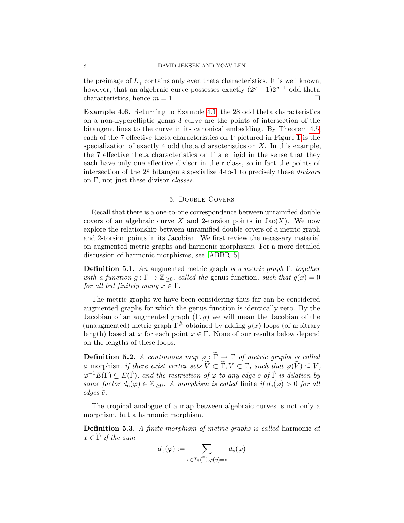the preimage of  $L<sub>\gamma</sub>$  contains only even theta characteristics. It is well known, however, that an algebraic curve possesses exactly  $(2<sup>g</sup> - 1)2<sup>g-1</sup>$  odd theta characteristics, hence  $m = 1$ .

Example 4.6. Returning to Example [4.1,](#page-5-2) the 28 odd theta characteristics on a non-hyperelliptic genus 3 curve are the points of intersection of the bitangent lines to the curve in its canonical embedding. By Theorem [4.5,](#page-6-0) each of the 7 effective theta characteristics on  $\Gamma$  pictured in Figure [1](#page-5-1) is the specialization of exactly 4 odd theta characteristics on  $X$ . In this example, the 7 effective theta characteristics on  $\Gamma$  are rigid in the sense that they each have only one effective divisor in their class, so in fact the points of intersection of the 28 bitangents specialize 4-to-1 to precisely these divisors on Γ, not just these divisor classes.

# 5. Double Covers

<span id="page-7-0"></span>Recall that there is a one-to-one correspondence between unramified double covers of an algebraic curve X and 2-torsion points in  $Jac(X)$ . We now explore the relationship between unramified double covers of a metric graph and 2-torsion points in its Jacobian. We first review the necessary material on augmented metric graphs and harmonic morphisms. For a more detailed discussion of harmonic morphisms, see [\[ABBR15\]](#page-16-12).

**Definition 5.1.** An augmented metric graph is a metric graph  $\Gamma$ , together with a function  $g : \Gamma \to \mathbb{Z}_{\geq 0}$ , called the genus function, such that  $g(x) = 0$ for all but finitely many  $x \in \Gamma$ .

The metric graphs we have been considering thus far can be considered augmented graphs for which the genus function is identically zero. By the Jacobian of an augmented graph  $(\Gamma, g)$  we will mean the Jacobian of the (unaugmented) metric graph  $\Gamma^{\#}$  obtained by adding  $q(x)$  loops (of arbitrary length) based at x for each point  $x \in \Gamma$ . None of our results below depend on the lengths of these loops.

**Definition 5.2.** A continuous map  $\varphi : \widetilde{\Gamma} \to \Gamma$  of metric graphs is called a morphism if there exist vertex sets  $\widetilde{V} \subset \widetilde{\Gamma}, V \subset \Gamma$ , such that  $\varphi(\widetilde{V}) \subseteq V$ ,  $\varphi^{-1}E(\Gamma) \subseteq E(\widetilde{\Gamma})$ , and the restriction of  $\varphi$  to any edge  $\tilde{e}$  of  $\widetilde{\Gamma}$  is dilation by some factor  $d_{\tilde{e}}(\varphi) \in \mathbb{Z}_{\geq 0}$ . A morphism is called finite if  $d_{\tilde{e}}(\varphi) > 0$  for all edges  $\tilde{e}$ .

The tropical analogue of a map between algebraic curves is not only a morphism, but a harmonic morphism.

Definition 5.3. A finite morphism of metric graphs is called harmonic at  $\tilde{x} \in \tilde{\Gamma}$  if the sum

$$
d_{\tilde{x}}(\varphi) := \sum_{\tilde{v} \in T_{\tilde{x}}(\tilde{\Gamma}), \varphi(\tilde{v}) = v} d_{\tilde{v}}(\varphi)
$$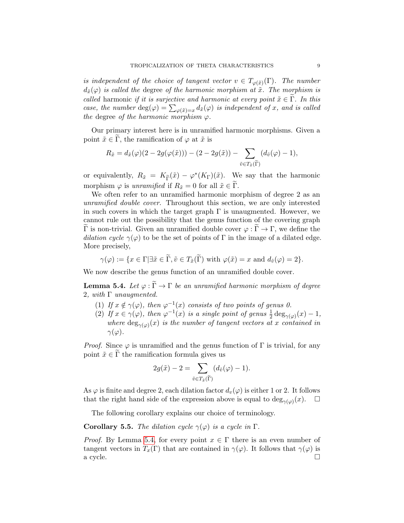is independent of the choice of tangent vector  $v \in T_{\varphi(\tilde{x})}(\Gamma)$ . The number  $d_{\tilde{x}}(\varphi)$  is called the degree of the harmonic morphism at  $\tilde{x}$ . The morphism is called harmonic if it is surjective and harmonic at every point  $\tilde{x} \in \Gamma$ . In this case, the number  $\deg(\varphi) = \sum_{\varphi(\tilde{x})=x} d_{\tilde{x}}(\varphi)$  is independent of x, and is called the degree of the harmonic morphism  $\varphi$ .

Our primary interest here is in unramified harmonic morphisms. Given a point  $\tilde{x} \in \tilde{\Gamma}$ , the ramification of  $\varphi$  at  $\tilde{x}$  is

$$
R_{\tilde{x}} = d_{\tilde{x}}(\varphi)(2 - 2g(\varphi(\tilde{x}))) - (2 - 2g(\tilde{x})) - \sum_{\tilde{v} \in T_{\tilde{x}}(\tilde{\Gamma})} (d_{\tilde{v}}(\varphi) - 1),
$$

or equivalently,  $R_{\tilde{x}} = K_{\tilde{\Gamma}}(\tilde{x}) - \varphi^*(K_{\Gamma})(\tilde{x})$ . We say that the harmonic morphism  $\varphi$  is unramified if  $R_{\tilde{x}} = 0$  for all  $\tilde{x} \in \tilde{\Gamma}$ .

We often refer to an unramified harmonic morphism of degree 2 as an unramified double cover. Throughout this section, we are only interested in such covers in which the target graph  $\Gamma$  is unaugmented. However, we cannot rule out the possibility that the genus function of the covering graph  $\widetilde{\Gamma}$  is non-trivial. Given an unramified double cover  $\varphi : \widetilde{\Gamma} \to \Gamma$ , we define the dilation cycle  $\gamma(\varphi)$  to be the set of points of Γ in the image of a dilated edge. More precisely,

$$
\gamma(\varphi) := \{ x \in \Gamma | \exists \tilde{x} \in \tilde{\Gamma}, \tilde{v} \in T_{\tilde{x}}(\tilde{\Gamma}) \text{ with } \varphi(\tilde{x}) = x \text{ and } d_{\tilde{v}}(\varphi) = 2 \}.
$$

We now describe the genus function of an unramified double cover.

<span id="page-8-0"></span>**Lemma 5.4.** Let  $\varphi : \widetilde{\Gamma} \to \Gamma$  be an unramified harmonic morphism of degree 2, with  $\Gamma$  unaugmented.

- (1) If  $x \notin \gamma(\varphi)$ , then  $\varphi^{-1}(x)$  consists of two points of genus 0.
- (2) If  $x \in \gamma(\varphi)$ , then  $\varphi^{-1}(x)$  is a single point of genus  $\frac{1}{2} \deg_{\gamma(\varphi)}(x) 1$ , where  $\deg_{\gamma(\varphi)}(x)$  is the number of tangent vectors at x contained in  $\gamma(\varphi)$ .

*Proof.* Since  $\varphi$  is unramified and the genus function of  $\Gamma$  is trivial, for any point  $\tilde{x} \in \tilde{\Gamma}$  the ramification formula gives us

$$
2g(\tilde{x}) - 2 = \sum_{\tilde{v} \in T_{\tilde{x}}(\tilde{\Gamma})} (d_{\tilde{v}}(\varphi) - 1).
$$

As  $\varphi$  is finite and degree 2, each dilation factor  $d_v(\varphi)$  is either 1 or 2. It follows that the right hand side of the expression above is equal to  $\deg_{\gamma(\varphi)}(x)$ .  $\Box$ 

The following corollary explains our choice of terminology.

**Corollary 5.5.** The dilation cycle  $\gamma(\varphi)$  is a cycle in  $\Gamma$ .

*Proof.* By Lemma [5.4,](#page-8-0) for every point  $x \in \Gamma$  there is an even number of tangent vectors in  $T_x(\Gamma)$  that are contained in  $\gamma(\varphi)$ . It follows that  $\gamma(\varphi)$  is  $\alpha$  cycle.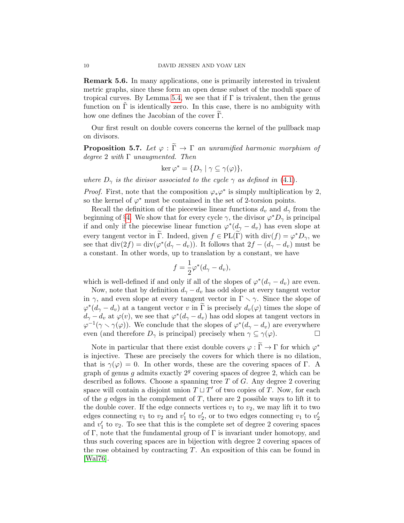Remark 5.6. In many applications, one is primarily interested in trivalent metric graphs, since these form an open dense subset of the moduli space of tropical curves. By Lemma [5.4,](#page-8-0) we see that if  $\Gamma$  is trivalent, then the genus function on  $\Gamma$  is identically zero. In this case, there is no ambiguity with how one defines the Jacobian of the cover  $\Gamma$ .

Our first result on double covers concerns the kernel of the pullback map on divisors.

<span id="page-9-0"></span>**Proposition 5.7.** Let  $\varphi : \widetilde{\Gamma} \to \Gamma$  an unramified harmonic morphism of degree 2 with  $\Gamma$  unaugmented. Then

$$
\ker \varphi^* = \{ D_\gamma \mid \gamma \subseteq \gamma(\varphi) \},
$$

where  $D_{\gamma}$  is the divisor associated to the cycle  $\gamma$  as defined in [\(4.1\)](#page-5-3).

*Proof.* First, note that the composition  $\varphi_*\varphi^*$  is simply multiplication by 2, so the kernel of  $\varphi^*$  must be contained in the set of 2-torsion points.

Recall the definition of the piecewise linear functions  $d_v$  and  $d_\gamma$  from the beginning of §[4.](#page-4-1) We show that for every cycle  $\gamma$ , the divisor  $\varphi^*D_{\gamma}$  is principal if and only if the piecewise linear function  $\varphi^*(d_\gamma - d_v)$  has even slope at every tangent vector in  $\widetilde{\Gamma}$ . Indeed, given  $f \in PL(\widetilde{\Gamma})$  with div $(f) = \varphi^*D_{\gamma}$ , we see that  $\text{div}(2f) = \text{div}(\varphi^*(d_\gamma - d_v))$ . It follows that  $2f - (d_\gamma - d_v)$  must be a constant. In other words, up to translation by a constant, we have

$$
f = \frac{1}{2}\varphi^*(d_\gamma - d_v),
$$

which is well-defined if and only if all of the slopes of  $\varphi^*(d_{\gamma}-d_v)$  are even.

Now, note that by definition  $d_{\gamma} - d_{v}$  has odd slope at every tangent vector in  $\gamma$ , and even slope at every tangent vector in  $\Gamma \setminus \gamma$ . Since the slope of  $\varphi^*(d_\gamma - d_v)$  at a tangent vector v in  $\widetilde{\Gamma}$  is precisely  $d_v(\varphi)$  times the slope of  $d_{\gamma} - d_v$  at  $\varphi(v)$ , we see that  $\varphi^*(d_{\gamma} - d_v)$  has odd slopes at tangent vectors in  $\varphi^{-1}(\gamma \setminus \gamma(\varphi))$ . We conclude that the slopes of  $\varphi^*(d_\gamma - d_v)$  are everywhere even (and therefore  $D_{\gamma}$  is principal) precisely when  $\gamma \subseteq \gamma(\varphi)$ .

Note in particular that there exist double covers  $\varphi : \widetilde{\Gamma} \to \Gamma$  for which  $\varphi^*$ is injective. These are precisely the covers for which there is no dilation, that is  $\gamma(\varphi) = 0$ . In other words, these are the covering spaces of Γ. A graph of genus  $g$  admits exactly  $2^g$  covering spaces of degree 2, which can be described as follows. Choose a spanning tree  $T$  of  $G$ . Any degree 2 covering space will contain a disjoint union  $T \sqcup T'$  of two copies of T. Now, for each of the g edges in the complement of  $T$ , there are 2 possible ways to lift it to the double cover. If the edge connects vertices  $v_1$  to  $v_2$ , we may lift it to two edges connecting  $v_1$  to  $v_2$  and  $v'_1$  to  $v'_2$ , or to two edges connecting  $v_1$  to  $v'_2$ and  $v'_1$  to  $v_2$ . To see that this is the complete set of degree 2 covering spaces of Γ, note that the fundamental group of Γ is invariant under homotopy, and thus such covering spaces are in bijection with degree 2 covering spaces of the rose obtained by contracting  $T$ . An exposition of this can be found in [\[Wal76\]](#page-16-13).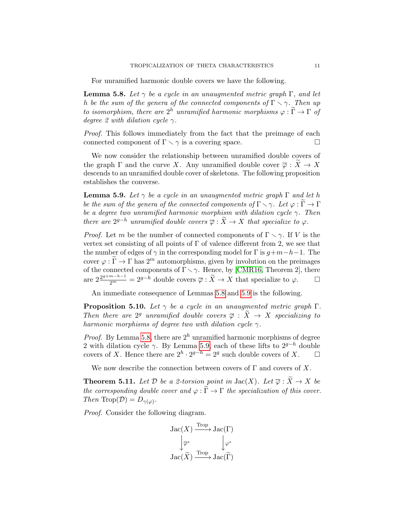For unramified harmonic double covers we have the following.

<span id="page-10-1"></span>**Lemma 5.8.** Let  $\gamma$  be a cycle in an unaugmented metric graph  $\Gamma$ , and let h be the sum of the genera of the connected components of  $\Gamma \setminus \gamma$ . Then up to isomorphism, there are  $2^h$  unramified harmonic morphisms  $\varphi : \widetilde{\Gamma} \to \Gamma$  of degree 2 with dilation cycle  $\gamma$ .

Proof. This follows immediately from the fact that the preimage of each connected component of  $\Gamma \setminus \gamma$  is a covering space.

We now consider the relationship between unramified double covers of the graph  $\Gamma$  and the curve X. Any unramified double cover  $\overline{\varphi}: X \to X$ descends to an unramified double cover of skeletons. The following proposition establishes the converse.

<span id="page-10-2"></span>**Lemma 5.9.** Let  $\gamma$  be a cycle in an unaugmented metric graph  $\Gamma$  and let h be the sum of the genera of the connected components of  $\Gamma \setminus \gamma$ . Let  $\varphi : \widetilde{\Gamma} \to \Gamma$ be a degree two unramified harmonic morphism with dilation cycle  $\gamma$ . Then there are  $2^{g-h}$  unramified double covers  $\overline{\varphi} : \widetilde{X} \to X$  that specialize to  $\varphi$ .

*Proof.* Let m be the number of connected components of  $\Gamma \setminus \gamma$ . If V is the vertex set consisting of all points of  $\Gamma$  of valence different from 2, we see that the number of edges of  $\gamma$  in the corresponding model for  $\Gamma$  is  $g+m-h-1$ . The cover  $\varphi : \Gamma \to \Gamma$  has  $2^m$  automorphisms, given by involution on the preimages of the connected components of  $\Gamma \setminus \gamma$ . Hence, by [\[CMR16,](#page-16-14) Theorem 2], there are  $2^{\frac{2^{g+m-h-1}}{2^m}} = 2^{g-h}$  double covers  $\overline{\varphi} : \widetilde{X} \to X$  that specialize to  $\varphi$ .  $\Box$ 

An immediate consequence of Lemmas [5.8](#page-10-1) and [5.9](#page-10-2) is the following.

<span id="page-10-3"></span>**Proposition 5.10.** Let  $\gamma$  be a cycle in an unaugmented metric graph  $\Gamma$ . Then there are  $2^g$  unramified double covers  $\overline{\varphi}$  :  $\widetilde{X} \to X$  specializing to harmonic morphisms of degree two with dilation cycle  $\gamma$ .

*Proof.* By Lemma [5.8,](#page-10-1) there are  $2<sup>h</sup>$  unramified harmonic morphisms of degree 2 with dilation cycle  $\gamma$ . By Lemma [5.9,](#page-10-2) each of these lifts to  $2^{g-h}$  double covers of X. Hence there are  $2^h \cdot 2^{g-h} = 2^g$  such double covers of X.  $\Box$ 

We now describe the connection between covers of  $\Gamma$  and covers of X.

<span id="page-10-0"></span>**Theorem 5.11.** Let  $D$  be a 2-torsion point in  $Jac(X)$ . Let  $\overline{\varphi}: \widetilde{X} \to X$  be the corresponding double cover and  $\varphi : \widetilde{\Gamma} \to \Gamma$  the specialization of this cover. Then Trop( $\mathcal{D}$ ) =  $D_{\gamma(\varphi)}$ .

Proof. Consider the following diagram.

$$
\begin{array}{ccc}\n\operatorname{Jac}(X) & \xrightarrow{\operatorname{Trop}} \operatorname{Jac}(\Gamma) \\
\downarrow \overline{\varphi}^* & \downarrow \varphi^* \\
\operatorname{Jac}(\widetilde{X}) & \xrightarrow{\operatorname{Trop}} \operatorname{Jac}(\widetilde{\Gamma})\n\end{array}
$$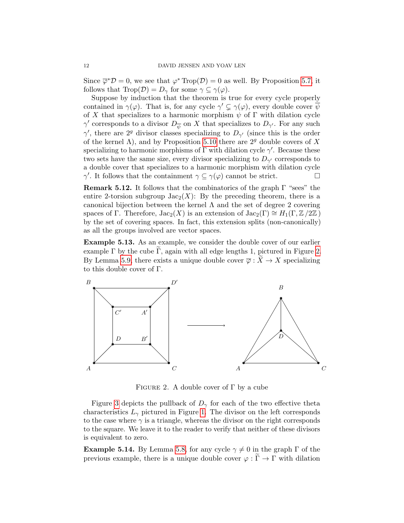Since  $\overline{\varphi}^* \mathcal{D} = 0$ , we see that  $\varphi^* \text{Top}(\mathcal{D}) = 0$  as well. By Proposition [5.7,](#page-9-0) it follows that  $\text{Trop}(\mathcal{D}) = D_{\gamma}$  for some  $\gamma \subseteq \gamma(\varphi)$ .

Suppose by induction that the theorem is true for every cycle properly contained in  $\gamma(\varphi)$ . That is, for any cycle  $\gamma' \subsetneq \gamma(\varphi)$ , every double cover  $\overline{\psi}$ of X that specializes to a harmonic morphism  $\psi$  of  $\Gamma$  with dilation cycle  $\gamma'$  corresponds to a divisor  $D_{\overline{\psi}}$  on X that specializes to  $D_{\gamma'}$ . For any such  $\gamma'$ , there are 2<sup>*g*</sup> divisor classes specializing to  $D_{\gamma'}$  (since this is the order of the kernel  $\Lambda$ ), and by Proposition [5.10](#page-10-3) there are  $2^g$  double covers of X specializing to harmonic morphisms of  $\Gamma$  with dilation cycle  $\gamma'$ . Because these two sets have the same size, every divisor specializing to  $D_{\gamma'}$  corresponds to a double cover that specializes to a harmonic morphism with dilation cycle  $\gamma'$ . It follows that the containment  $\gamma \subseteq \gamma(\varphi)$  cannot be strict.

**Remark 5.12.** It follows that the combinatorics of the graph  $\Gamma$  "sees" the entire 2-torsion subgroup  $Jac_2(X)$ : By the preceding theorem, there is a canonical bijection between the kernel  $\Lambda$  and the set of degree 2 covering spaces of Γ. Therefore,  $Jac_2(X)$  is an extension of  $Jac_2(\Gamma) \cong H_1(\Gamma, \mathbb{Z}/2\mathbb{Z})$ by the set of covering spaces. In fact, this extension splits (non-canonically) as all the groups involved are vector spaces.

Example 5.13. As an example, we consider the double cover of our earlier example  $\Gamma$  by the cube  $\Gamma$ , again with all edge lengths 1, pictured in Figure [2.](#page-11-0) By Lemma [5.9,](#page-10-2) there exists a unique double cover  $\overline{\varphi} : X \to X$  specializing to this double cover of Γ.



<span id="page-11-0"></span>FIGURE 2. A double cover of  $\Gamma$  by a cube

Figure [3](#page-12-0) depicts the pullback of  $D_{\gamma}$  for each of the two effective theta characteristics  $L_{\gamma}$  pictured in Figure [1.](#page-5-1) The divisor on the left corresponds to the case where  $\gamma$  is a triangle, whereas the divisor on the right corresponds to the square. We leave it to the reader to verify that neither of these divisors is equivalent to zero.

**Example 5.14.** By Lemma [5.8,](#page-10-1) for any cycle  $\gamma \neq 0$  in the graph  $\Gamma$  of the previous example, there is a unique double cover  $\varphi : \widetilde{\Gamma} \to \Gamma$  with dilation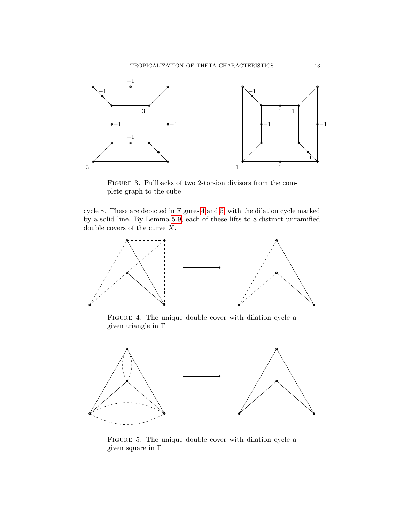

<span id="page-12-0"></span>Figure 3. Pullbacks of two 2-torsion divisors from the complete graph to the cube

cycle  $\gamma$ . These are depicted in Figures [4](#page-12-1) and [5,](#page-12-2) with the dilation cycle marked by a solid line. By Lemma [5.9,](#page-10-2) each of these lifts to 8 distinct unramified double covers of the curve  $X$ .



<span id="page-12-1"></span>Figure 4. The unique double cover with dilation cycle a given triangle in Γ



<span id="page-12-2"></span>Figure 5. The unique double cover with dilation cycle a given square in  $\Gamma$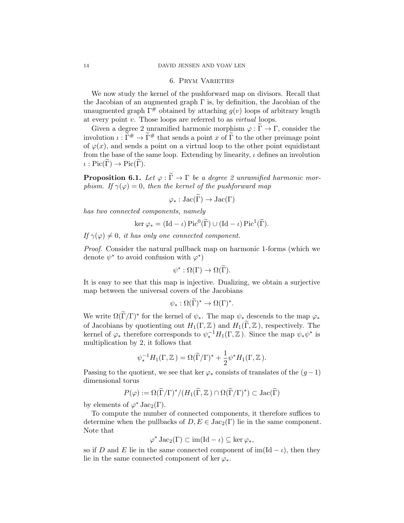## 6. Prym Varieties

<span id="page-13-0"></span>We now study the kernel of the pushforward map on divisors. Recall that the Jacobian of an augmented graph  $\Gamma$  is, by definition, the Jacobian of the unaugmented graph  $\Gamma^{\#}$  obtained by attaching  $q(v)$  loops of arbitrary length at every point v. Those loops are referred to as virtual loops.

Given a degree 2 unramified harmonic morphism  $\varphi : \widetilde{\Gamma} \to \Gamma$ , consider the involution  $\iota : \widetilde{\Gamma}^{\#} \to \widetilde{\Gamma}^{\#}$  that sends a point x of  $\widetilde{\Gamma}$  to the other preimage point of  $\varphi(x)$ , and sends a point on a virtual loop to the other point equidistant from the base of the same loop. Extending by linearity,  $\iota$  defines an involution  $\iota : Pic(\widetilde{\Gamma}) \to Pic(\widetilde{\Gamma}).$ 

**Proposition 6.1.** Let  $\varphi : \widetilde{\Gamma} \to \Gamma$  be a degree 2 unramified harmonic morphism. If  $\gamma(\varphi) = 0$ , then the kernel of the pushforward map

$$
\varphi_* : \mathrm{Jac}(\widetilde{\Gamma}) \to \mathrm{Jac}(\Gamma)
$$

has two connected components, namely

$$
\ker \varphi_* = (\mathrm{Id} - \iota) \operatorname{Pic}^0(\widetilde{\Gamma}) \cup (\mathrm{Id} - \iota) \operatorname{Pic}^1(\widetilde{\Gamma}).
$$

If  $\gamma(\varphi) \neq 0$ , it has only one connected component.

Proof. Consider the natural pullback map on harmonic 1-forms (which we denote  $\psi^*$  to avoid confusion with  $\varphi^*$ )

$$
\psi^* : \Omega(\Gamma) \to \Omega(\widetilde{\Gamma}).
$$

It is easy to see that this map is injective. Dualizing, we obtain a surjective map between the universal covers of the Jacobians

$$
\psi_* : \Omega(\widetilde{\Gamma})^* \to \Omega(\Gamma)^*.
$$

We write  $\Omega(\tilde{\Gamma}/\Gamma)^*$  for the kernel of  $\psi_*$ . The map  $\psi_*$  descends to the map  $\varphi_*$ of Jacobians by quotienting out  $H_1(\Gamma, \mathbb{Z})$  and  $H_1(\widetilde{\Gamma}, \mathbb{Z})$ , respectively. The kernel of  $\varphi_*$  therefore corresponds to  $\psi_*^{-1}H_1(\Gamma,\mathbb{Z})$ . Since the map  $\psi_*\psi^*$  is multiplication by 2, it follows that

$$
\psi_*^{-1}H_1(\Gamma,\mathbb{Z})=\Omega(\widetilde{\Gamma}/\Gamma)^*+\frac{1}{2}\psi^*H_1(\Gamma,\mathbb{Z}).
$$

Passing to the quotient, we see that ker  $\varphi_*$  consists of translates of the  $(g-1)$ dimensional torus

$$
P(\varphi):=\Omega(\widetilde{\Gamma}/\Gamma)^*/(H_1(\widetilde{\Gamma},\mathbb{Z})\cap\Omega(\widetilde{\Gamma}/\Gamma)^*)\subset \mathrm{Jac}(\widetilde{\Gamma})
$$

by elements of  $\varphi^*$  Jac<sub>2</sub>( $\Gamma$ ).

To compute the number of connected components, it therefore suffices to determine when the pullbacks of  $D, E \in \text{Jac}_2(\Gamma)$  lie in the same component. Note that

$$
\varphi^* \operatorname{Jac}_2(\Gamma) \subset \operatorname{im}(\operatorname{Id} - \iota) \subseteq \ker \varphi_*,
$$

so if D and E lie in the same connected component of  $\text{im}(\text{Id} - \iota)$ , then they lie in the same connected component of ker  $\varphi_*$ .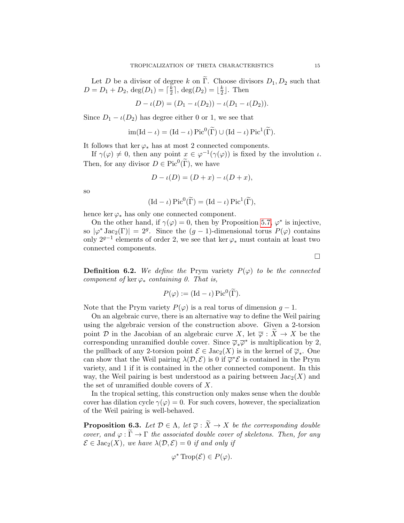Let D be a divisor of degree k on Γ. Choose divisors  $D_1, D_2$  such that  $D = D_1 + D_2$ , deg $(D_1) = \lceil \frac{k}{2} \rceil$  $\frac{k}{2}$ , deg( $D_2$ ) =  $\lfloor \frac{k}{2}$  $\frac{k}{2}$ . Then

$$
D - \iota(D) = (D_1 - \iota(D_2)) - \iota(D_1 - \iota(D_2)).
$$

Since  $D_1 - \iota(D_2)$  has degree either 0 or 1, we see that

$$
\operatorname{im}(\operatorname{Id} - \iota) = (\operatorname{Id} - \iota) \operatorname{Pic}^0(\widetilde{\Gamma}) \cup (\operatorname{Id} - \iota) \operatorname{Pic}^1(\widetilde{\Gamma}).
$$

It follows that ker  $\varphi_*$  has at most 2 connected components.

If  $\gamma(\varphi) \neq 0$ , then any point  $x \in \varphi^{-1}(\gamma(\varphi))$  is fixed by the involution  $\iota$ . Then, for any divisor  $D \in Pic^0(\tilde{\Gamma})$ , we have

$$
D - \iota(D) = (D + x) - \iota(D + x),
$$

so

$$
(\mathrm{Id} - \iota) \mathrm{Pic}^0(\widetilde{\Gamma}) = (\mathrm{Id} - \iota) \mathrm{Pic}^1(\widetilde{\Gamma}),
$$

hence ker  $\varphi_*$  has only one connected component.

On the other hand, if  $\gamma(\varphi) = 0$ , then by Proposition [5.7,](#page-9-0)  $\varphi^*$  is injective, so  $|\varphi^* \text{Jac}_2(\Gamma)| = 2^g$ . Since the  $(g-1)$ -dimensional torus  $P(\varphi)$  contains only  $2^{g-1}$  elements of order 2, we see that ker  $\varphi_*$  must contain at least two connected components.

**Definition 6.2.** We define the Prym variety  $P(\varphi)$  to be the connected component of ker  $\varphi_*$  containing 0. That is,

$$
P(\varphi) := (\mathrm{Id} - \iota) \operatorname{Pic}^0(\widetilde{\Gamma}).
$$

Note that the Prym variety  $P(\varphi)$  is a real torus of dimension  $g-1$ .

On an algebraic curve, there is an alternative way to define the Weil pairing using the algebraic version of the construction above. Given a 2-torsion point D in the Jacobian of an algebraic curve X, let  $\overline{\varphi}: X \to X$  be the corresponding unramified double cover. Since  $\overline{\varphi}_*\overline{\varphi}^*$  is multiplication by 2, the pullback of any 2-torsion point  $\mathcal{E} \in \text{Jac}_2(X)$  is in the kernel of  $\overline{\varphi}_*$ . One can show that the Weil pairing  $\lambda(\mathcal{D}, \mathcal{E})$  is 0 if  $\overline{\varphi}^*\mathcal{E}$  is contained in the Prym variety, and 1 if it is contained in the other connected component. In this way, the Weil pairing is best understood as a pairing between  $Jac_2(X)$  and the set of unramified double covers of X.

In the tropical setting, this construction only makes sense when the double cover has dilation cycle  $\gamma(\varphi) = 0$ . For such covers, however, the specialization of the Weil pairing is well-behaved.

<span id="page-14-0"></span>**Proposition 6.3.** Let  $\mathcal{D} \in \Lambda$ , let  $\overline{\varphi} : \widetilde{X} \to X$  be the corresponding double cover, and  $\varphi : \Gamma \to \Gamma$  the associated double cover of skeletons. Then, for any  $\mathcal{E} \in \text{Jac}_2(X)$ , we have  $\lambda(\mathcal{D}, \mathcal{E}) = 0$  if and only if

$$
\varphi^* \operatorname{Trop}(\mathcal{E}) \in P(\varphi).
$$

 $\Box$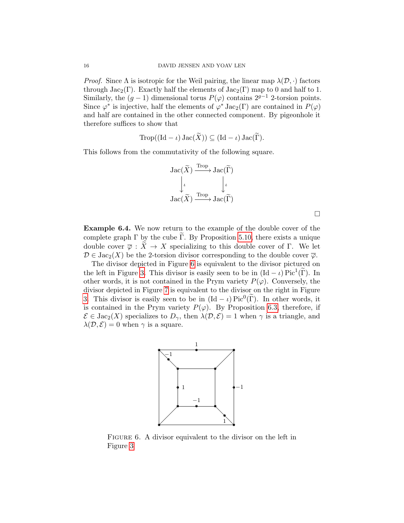*Proof.* Since  $\Lambda$  is isotropic for the Weil pairing, the linear map  $\lambda(\mathcal{D},.)$  factors through  $Jac_2(\Gamma)$ . Exactly half the elements of  $Jac_2(\Gamma)$  map to 0 and half to 1. Similarly, the  $(g - 1)$  dimensional torus  $P(\varphi)$  contains  $2^{g-1}$  2-torsion points. Since  $\varphi^*$  is injective, half the elements of  $\varphi^*$  Jac<sub>2</sub>( $\Gamma$ ) are contained in  $P(\varphi)$ and half are contained in the other connected component. By pigeonhole it therefore suffices to show that

$$
\operatorname{Trop}((\operatorname{Id} - \iota) \operatorname{Jac}(\widetilde{X})) \subseteq (\operatorname{Id} - \iota) \operatorname{Jac}(\widetilde{\Gamma}).
$$

This follows from the commutativity of the following square.

$$
\begin{array}{ccc}\n\operatorname{Jac}(\widetilde{X}) & \xrightarrow{\operatorname{Top}} \operatorname{Jac}(\widetilde{\Gamma}) \\
\downarrow \iota & \downarrow \iota \\
\operatorname{Jac}(\widetilde{X}) & \xrightarrow{\operatorname{Top}} \operatorname{Jac}(\widetilde{\Gamma})\n\end{array}
$$

 $\Box$ 

Example 6.4. We now return to the example of the double cover of the complete graph  $\Gamma$  by the cube  $\Gamma$ . By Proposition [5.10,](#page-10-3) there exists a unique double cover  $\overline{\varphi}: \overline{X} \to X$  specializing to this double cover of Γ. We let  $\mathcal{D} \in \text{Jac}_2(X)$  be the 2-torsion divisor corresponding to the double cover  $\overline{\varphi}$ .

The divisor depicted in Figure [6](#page-15-0) is equivalent to the divisor pictured on the left in Figure [3.](#page-12-0) This divisor is easily seen to be in  $(\text{Id} - \iota) \text{Pic}^1(\tilde{\Gamma})$ . In other words, it is not contained in the Prym variety  $P(\varphi)$ . Conversely, the divisor depicted in Figure [7](#page-16-15) is equivalent to the divisor on the right in Figure [3.](#page-12-0) This divisor is easily seen to be in  $(\text{Id} - \iota) \text{Pic}^0(\tilde{\Gamma})$ . In other words, it is contained in the Prym variety  $P(\varphi)$ . By Proposition [6.3,](#page-14-0) therefore, if  $\mathcal{E} \in \text{Jac}_2(X)$  specializes to  $D_{\gamma}$ , then  $\lambda(\mathcal{D}, \mathcal{E}) = 1$  when  $\gamma$  is a triangle, and  $\lambda(\mathcal{D}, \mathcal{E}) = 0$  when  $\gamma$  is a square.



<span id="page-15-0"></span>FIGURE 6. A divisor equivalent to the divisor on the left in Figure [3](#page-12-0)